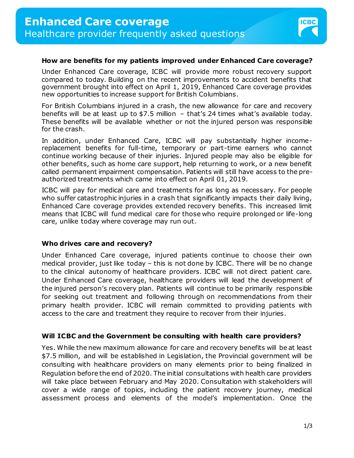

### **How are benefits for my patients improved under Enhanced Care coverage?**

Under Enhanced Care coverage, ICBC will provide more robust recovery support compared to today. Building on the recent improvements to accident benefits that government brought into effect on April 1, 2019, Enhanced Care coverage provides new opportunities to increase support for British Columbians.

For British Columbians injured in a crash, the new allowance for care and recovery benefits will be at least up to \$7.5 million – that's 24 times what's available today. These benefits will be available whether or not the injured person was responsible for the crash.

In addition, under Enhanced Care, ICBC will pay substantially higher incomereplacement benefits for full-time, temporary or part-time earners who cannot continue working because of their injuries. Injured people may also be eligible for other benefits, such as home care support, help returning to work, or a new benefit called permanent impairment compensation. Patients will still have access to the preauthorized treatments which came into effect on April 01, 2019.

ICBC will pay for medical care and treatments for as long as necessary. For people who suffer catastrophic injuries in a crash that significantly impacts their daily living, Enhanced Care coverage provides extended recovery benefits. This increased limit means that ICBC will fund medical care for those who require prolonged or life-long care, unlike today where coverage may run out.

#### **Who drives care and recovery?**

Under Enhanced Care coverage, injured patients continue to choose their own medical provider, just like today – this is not done by ICBC. There will be no change to the clinical autonomy of healthcare providers. ICBC will not direct patient care. Under Enhanced Care coverage, healthcare providers will lead the development of the injured person's recovery plan. Patients will continue to be primarily responsible for seeking out treatment and following through on recommendations from their primary health provider. ICBC will remain committed to providing patients with access to the care and treatment they require to recover from their injuries.

#### **Will ICBC and the Government be consulting with health care providers?**

Yes. While the new maximum allowance for care and recovery benefits will be at least \$7.5 million, and will be established in Legislation, the Provincial government will be consulting with healthcare providers on many elements prior to being finalized in Regulation before the end of 2020. The initial consultations with health care providers will take place between February and May 2020. Consultation with stakeholders will cover a wide range of topics, including the patient recovery journey, medical assessment process and elements of the model's implementation. Once the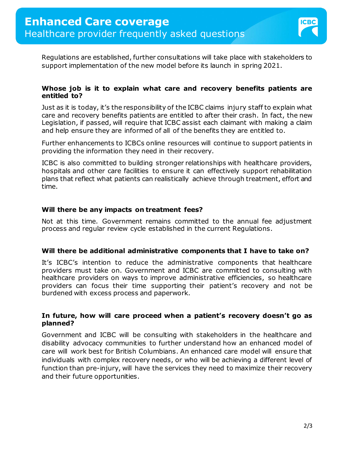

Regulations are established, further consultations will take place with stakeholders to support implementation of the new model before its launch in spring 2021.

### **Whose job is it to explain what care and recovery benefits patients are entitled to?**

Just as it is today, it's the responsibility of the ICBC claims injury staff to explain what care and recovery benefits patients are entitled to after their crash. In fact, the new Legislation, if passed, will require that ICBC assist each claimant with making a claim and help ensure they are informed of all of the benefits they are entitled to.

Further enhancements to ICBCs online resources will continue to support patients in providing the information they need in their recovery.

ICBC is also committed to building stronger relationships with healthcare providers, hospitals and other care facilities to ensure it can effectively support rehabilitation plans that reflect what patients can realistically achieve through treatment, effort and time.

## **Will there be any impacts on treatment fees?**

Not at this time. Government remains committed to the annual fee adjustment process and regular review cycle established in the current Regulations.

## **Will there be additional administrative components that I have to take on?**

It's ICBC's intention to reduce the administrative components that healthcare providers must take on. Government and ICBC are committed to consulting with healthcare providers on ways to improve administrative efficiencies, so healthcare providers can focus their time supporting their patient's recovery and not be burdened with excess process and paperwork.

#### **In future, how will care proceed when a patient's recovery doesn't go as planned?**

Government and ICBC will be consulting with stakeholders in the healthcare and disability advocacy communities to further understand how an enhanced model of care will work best for British Columbians. An enhanced care model will ensure that individuals with complex recovery needs, or who will be achieving a different level of function than pre-injury, will have the services they need to maximize their recovery and their future opportunities.